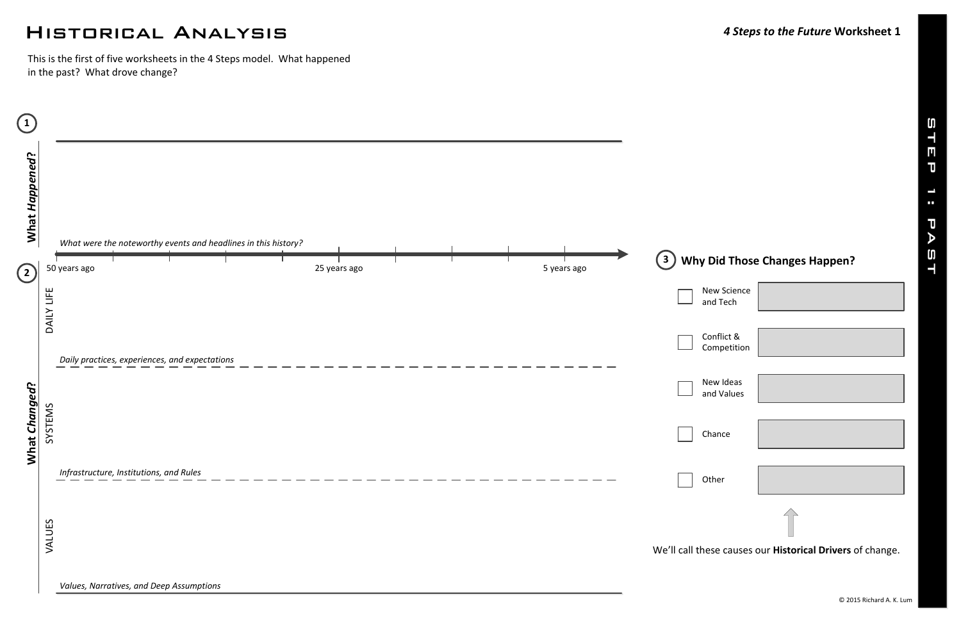# Historical Analysis *<sup>4</sup> Steps to the Future* **Worksheet <sup>1</sup>**

## **Why Did Those Changes Happen?**

We'll call these causes our **Historical Drivers** of change.

| New Science<br>and Tech   |  |  |  |  |  |
|---------------------------|--|--|--|--|--|
| Conflict &<br>Competition |  |  |  |  |  |
| New Ideas<br>and Values   |  |  |  |  |  |
| Chance                    |  |  |  |  |  |
| Other                     |  |  |  |  |  |
|                           |  |  |  |  |  |
| رمطم عم<br>.<br>n         |  |  |  |  |  |



This is the first of five worksheets in the 4 Steps model. What happened in the past? What drove change?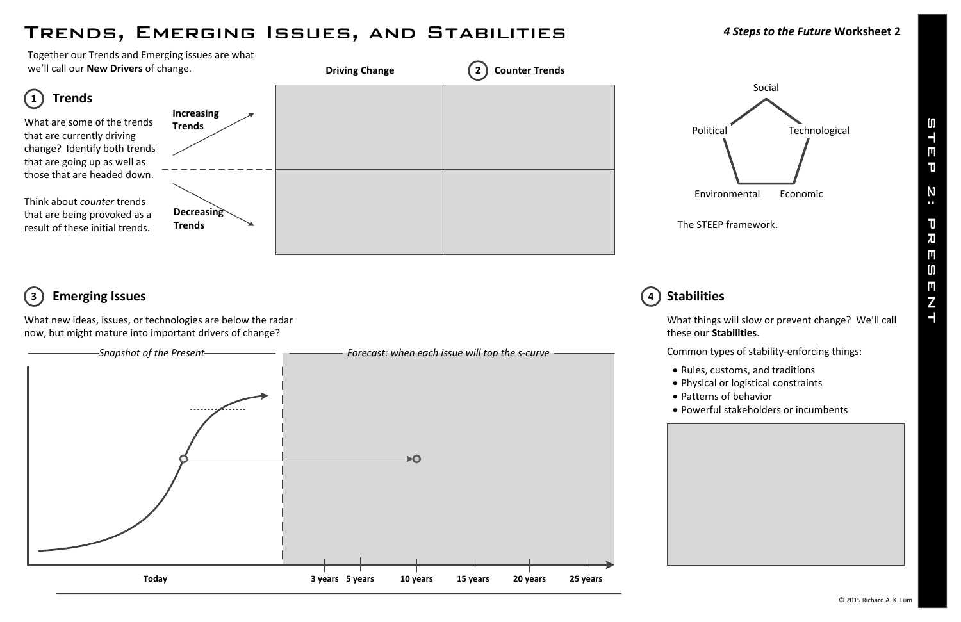# Trends, Emerging Issues, and Stabilities *<sup>4</sup> Steps to the Future* **Worksheet <sup>2</sup>**

What new ideas, issues, or technologies are below the radar now, but might mature into important drivers of change?

Together our Trends and Emerging issues are what we'll call our **New Drivers** of change.





## **Emerging Issues 3 4**

What things will slow or prevent change? We'll call these our **Stabilities**.

Common types of stability-enforcing things:

· Rules, customs, and traditions

· Physical or logistical constraints

· Patterns of behavior

· Powerful stakeholders or incumbents

## **Stabilities**



The STEEP framework.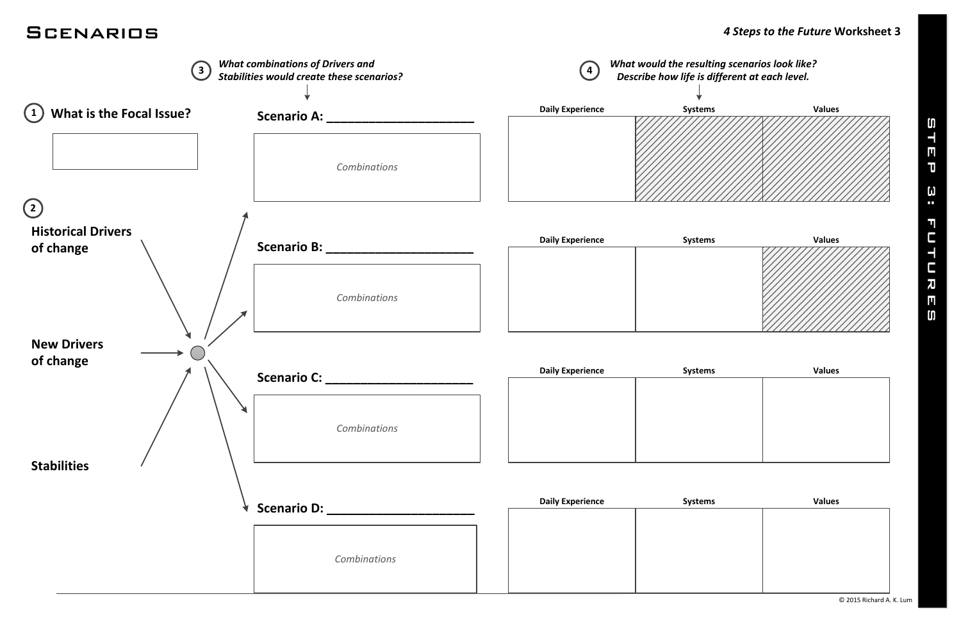

| าร | <b>Values</b> |  |  |
|----|---------------|--|--|
|    |               |  |  |
|    |               |  |  |
|    |               |  |  |
|    |               |  |  |
|    |               |  |  |

| ms | <b>Values</b> |  |  |  |
|----|---------------|--|--|--|
|    |               |  |  |  |
|    |               |  |  |  |
|    |               |  |  |  |
|    |               |  |  |  |
|    |               |  |  |  |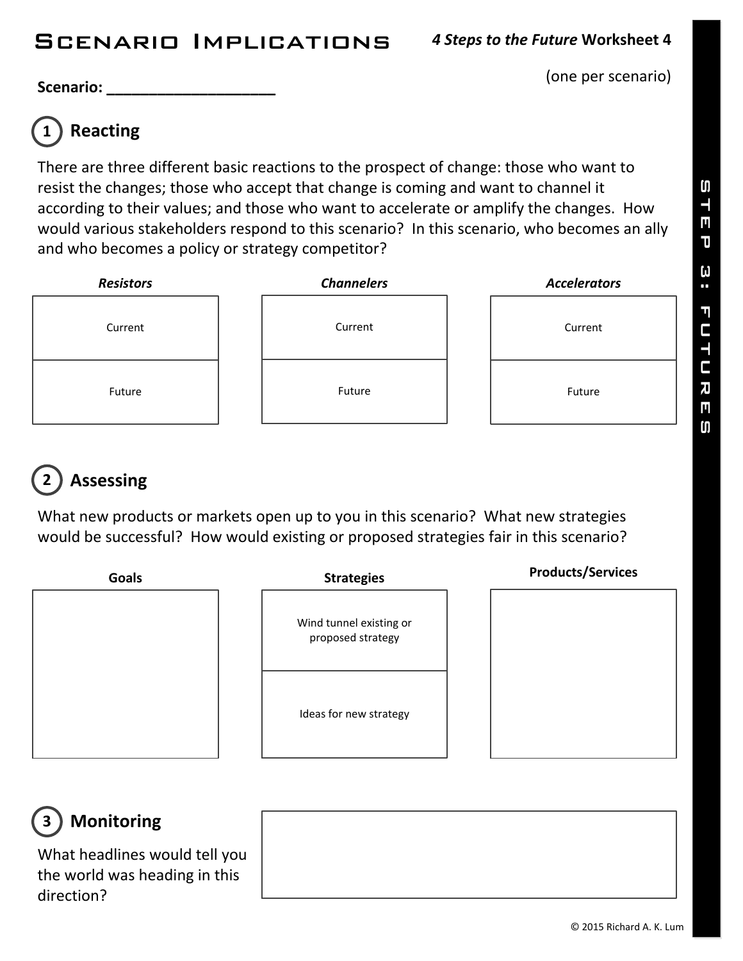(one per scenario)

**Scenario: \_\_\_\_\_\_\_\_\_\_\_\_\_\_\_\_\_\_\_\_**

## **Reacting 1**

There are three different basic reactions to the prospect of change: those who want to resist the changes; those who accept that change is coming and want to channel it according to their values; and those who want to accelerate or amplify the changes. How would various stakeholders respond to this scenario? In this scenario, who becomes an ally and who becomes a policy or strategy competitor?



## **Assessing 2**

What new products or markets open up to you in this scenario? What new strategies would be successful? How would existing or proposed strategies fair in this scenario?



### **Monitoring 3**

What headlines would tell you the world was heading in this direction?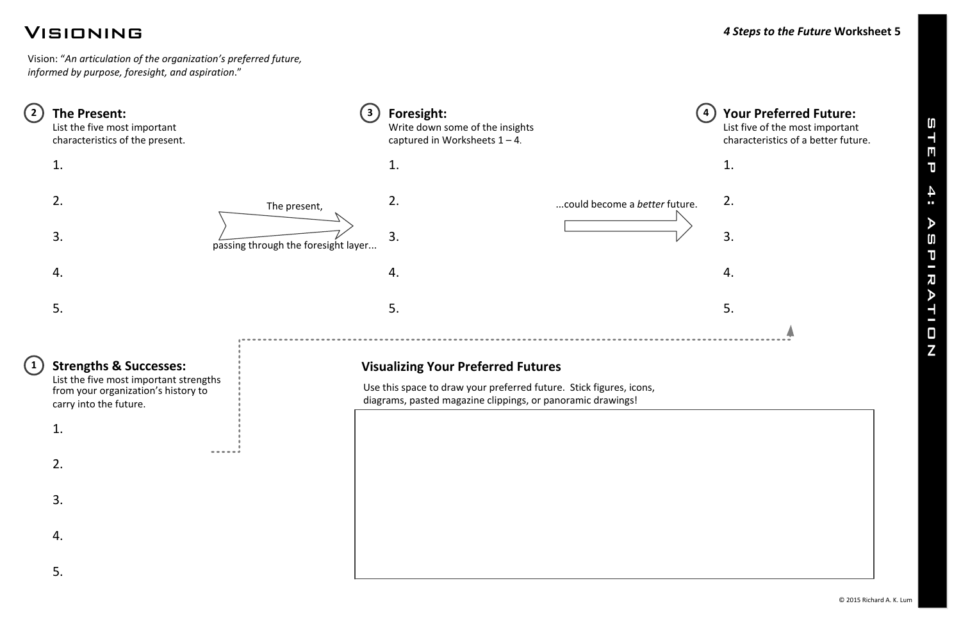# Visioning *<sup>4</sup> Steps to the Future* **Worksheet <sup>5</sup>**

© 2015 Richard A. K. Lum

Vision: "*An articulation of the organization's preferred future, informed by purpose, foresight, and aspiration*."

# **4 Your Preferred Future:** List five of the most important



| $\overline{2}$ | The Present:<br>List the five most important<br>characteristics of the present.                                                              |                                     | Foresight:<br>Write down some of the insights<br>captured in Worksheets $1 - 4$ .                                                                                               |                               |
|----------------|----------------------------------------------------------------------------------------------------------------------------------------------|-------------------------------------|---------------------------------------------------------------------------------------------------------------------------------------------------------------------------------|-------------------------------|
|                | 1.                                                                                                                                           |                                     | 1.                                                                                                                                                                              |                               |
|                | 2.                                                                                                                                           | The present,                        | 2.                                                                                                                                                                              | could become a better future. |
|                | 3.                                                                                                                                           | passing through the foresight layer | 3.                                                                                                                                                                              |                               |
|                | 4.                                                                                                                                           |                                     | 4.                                                                                                                                                                              |                               |
|                | 5.                                                                                                                                           |                                     | 5.                                                                                                                                                                              |                               |
|                | <b>Strengths &amp; Successes:</b><br>List the five most important strengths<br>from your organization's history to<br>carry into the future. |                                     | <b>Visualizing Your Preferred Futures</b><br>Use this space to draw your preferred future. Stick figures, icons,<br>diagrams, pasted magazine clippings, or panoramic drawings! |                               |
|                | 1.                                                                                                                                           |                                     |                                                                                                                                                                                 |                               |
|                | 2.                                                                                                                                           |                                     |                                                                                                                                                                                 |                               |
|                | 3.                                                                                                                                           |                                     |                                                                                                                                                                                 |                               |
|                | 4.                                                                                                                                           |                                     |                                                                                                                                                                                 |                               |
|                | 5.                                                                                                                                           |                                     |                                                                                                                                                                                 |                               |